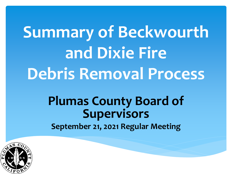## **Summary of Beckwourth and Dixie Fire Debris Removal Process**

### **Plumas County Board of Supervisors**

**September 21, 2021 Regular Meeting**

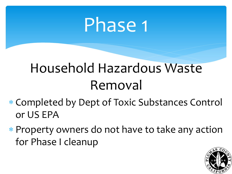### Phase 1

### Household Hazardous Waste Removal

- ∗ Completed by Dept of Toxic Substances Control or US EPA
- ∗ Property owners do not have to take any action for Phase I cleanup

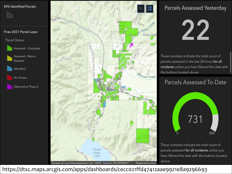#### **EPA Identified Parcels**











#### **Parcels Assessed Yesterday**

22

These numbers indicate the total count of parcels assessed in the last 24 hours for all incidents unless you have filtered the data with the buttons located above.

#### Parcels Assessed To-Date



These numbers indicate the total count of parcels assessed for all incidents unless you have filtered the data with the buttons located above.

https://dtsc.maps.arcgis.com/apps/dashboards/cecco21ffd47412aae9921e8a9296693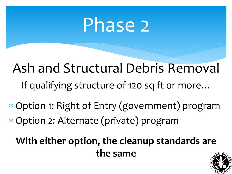## Phase 2

Ash and Structural Debris Removal If qualifying structure of 120 sq ft or more…

∗ Option 1: Right of Entry (government) program ∗ Option 2: Alternate (private) program

**With either option, the cleanup standards are the same**

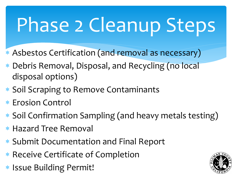# Phase 2 Cleanup Steps

- ∗ Asbestos Certification (and removal as necessary)
- ∗ Debris Removal, Disposal, and Recycling (no local disposal options)
- ∗ Soil Scraping to Remove Contaminants
- ∗ Erosion Control
- ∗ Soil Confirmation Sampling (and heavy metals testing)
- ∗ Hazard Tree Removal
- ∗ Submit Documentation and Final Report
- ∗ Receive Certificate of Completion
- ∗ Issue Building Permit!

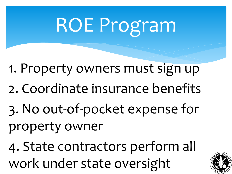# ROE Program

- 1. Property owners must sign up
- 2. Coordinate insurance benefits
- 3. No out-of-pocket expense for property owner

4. State contractors perform all work under state oversight

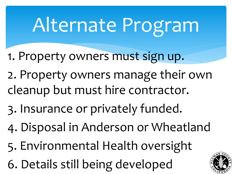# Alternate Program

- 1. Property owners must sign up.
- 2. Property owners manage their own cleanup but must hire contractor.
- 3. Insurance or privately funded.
- 4. Disposal in Anderson or Wheatland
- 5. Environmental Health oversight
- 6. Details still being developed

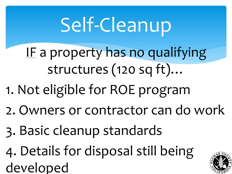# Self-Cleanup

- IF a property has no qualifying structures (120 sq ft)…
- 1. Not eligible for ROE program
- 2. Owners or contractor can do work
- 3. Basic cleanup standards
- 4. Details for disposal still being developed